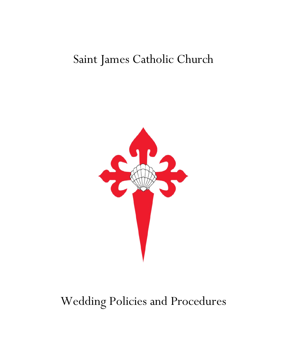# Saint James Catholic Church



# Wedding Policies and Procedures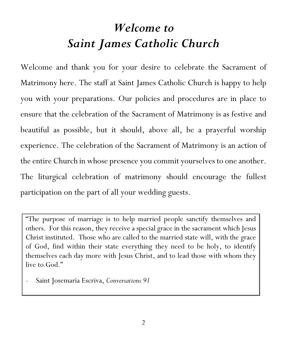# *Welcome to Saint James Catholic Church*

Welcome and thank you for your desire to celebrate the Sacrament of Matrimony here. The staff at Saint James Catholic Church is happy to help you with your preparations. Our policies and procedures are in place to ensure that the celebration of the Sacrament of Matrimony is as festive and beautiful as possible, but it should, above all, be a prayerful worship experience. The celebration of the Sacrament of Matrimony is an action of the entire Church in whose presence you commit yourselves to one another. The liturgical celebration of matrimony should encourage the fullest participation on the part of all your wedding guests.

"The purpose of marriage is to help married people sanctify themselves and others. For this reason, they receive a special grace in the sacrament which Jesus Christ instituted. Those who are called to the married state will, with the grace of God, find within their state everything they need to be holy, to identify themselves each day more with Jesus Christ, and to lead those with whom they live to God."

- Saint Josemaria Escriva, *Conversations 91*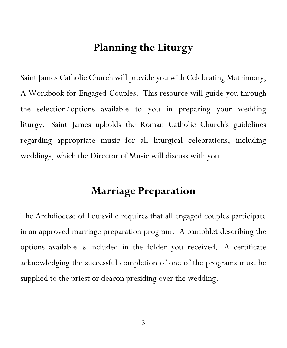### **Planning the Liturgy**

Saint James Catholic Church will provide you with Celebrating Matrimony, A Workbook for Engaged Couples. This resource will guide you through the selection/options available to you in preparing your wedding liturgy. Saint James upholds the Roman Catholic Church's guidelines regarding appropriate music for all liturgical celebrations, including weddings, which the Director of Music will discuss with you.

## **Marriage Preparation**

The Archdiocese of Louisville requires that all engaged couples participate in an approved marriage preparation program. A pamphlet describing the options available is included in the folder you received. A certificate acknowledging the successful completion of one of the programs must be supplied to the priest or deacon presiding over the wedding.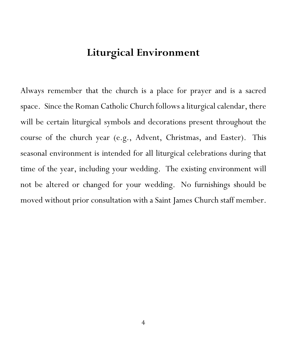## **Liturgical Environment**

Always remember that the church is a place for prayer and is a sacred space. Since the Roman Catholic Church follows a liturgical calendar, there will be certain liturgical symbols and decorations present throughout the course of the church year (e.g., Advent, Christmas, and Easter). This seasonal environment is intended for all liturgical celebrations during that time of the year, including your wedding. The existing environment will not be altered or changed for your wedding. No furnishings should be moved without prior consultation with a Saint James Church staff member.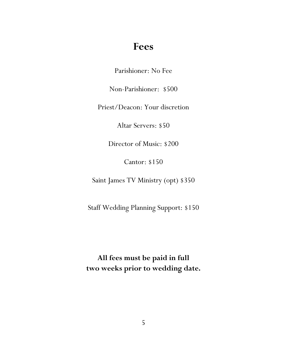### **Fees**

Parishioner: No Fee

Non-Parishioner: \$500

Priest/Deacon: Your discretion

Altar Servers: \$50

Director of Music: \$200

Cantor: \$150

Saint James TV Ministry (opt) \$350

Staff Wedding Planning Support: \$150

**All fees must be paid in full two weeks prior to wedding date.**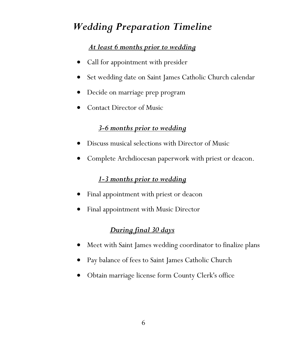## *Wedding Preparation Timeline*

#### *At least 6 months prior to wedding*

- Call for appointment with presider
- Set wedding date on Saint James Catholic Church calendar
- Decide on marriage prep program
- Contact Director of Music

#### *3-6 months prior to wedding*

- Discuss musical selections with Director of Music
- Complete Archdiocesan paperwork with priest or deacon.

#### *1-3 months prior to wedding*

- Final appointment with priest or deacon
- Final appointment with Music Director

#### *During final 30 days*

- Meet with Saint James wedding coordinator to finalize plans
- Pay balance of fees to Saint James Catholic Church
- Obtain marriage license form County Clerk's office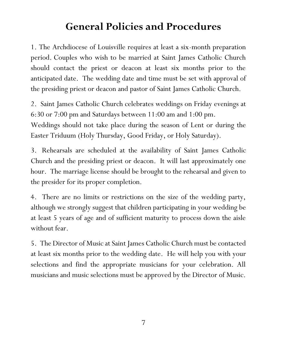## **General Policies and Procedures**

1. The Archdiocese of Louisville requires at least a six-month preparation period. Couples who wish to be married at Saint James Catholic Church should contact the priest or deacon at least six months prior to the anticipated date. The wedding date and time must be set with approval of the presiding priest or deacon and pastor of Saint James Catholic Church.

2. Saint James Catholic Church celebrates weddings on Friday evenings at 6:30 or 7:00 pm and Saturdays between 11:00 am and 1:00 pm. Weddings should not take place during the season of Lent or during the Easter Triduum (Holy Thursday, Good Friday, or Holy Saturday).

3. Rehearsals are scheduled at the availability of Saint James Catholic Church and the presiding priest or deacon. It will last approximately one hour. The marriage license should be brought to the rehearsal and given to the presider for its proper completion.

4. There are no limits or restrictions on the size of the wedding party, although we strongly suggest that children participating in your wedding be at least 5 years of age and of sufficient maturity to process down the aisle without fear.

5. The Director of Music at Saint James Catholic Church must be contacted at least six months prior to the wedding date. He will help you with your selections and find the appropriate musicians for your celebration. All musicians and music selections must be approved by the Director of Music.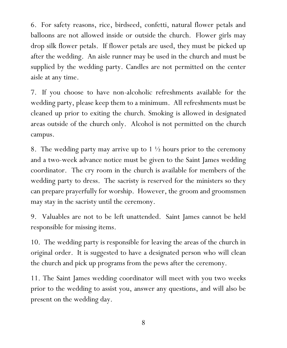6. For safety reasons, rice, birdseed, confetti, natural flower petals and balloons are not allowed inside or outside the church. Flower girls may drop silk flower petals. If flower petals are used, they must be picked up after the wedding. An aisle runner may be used in the church and must be supplied by the wedding party. Candles are not permitted on the center aisle at any time.

7. If you choose to have non-alcoholic refreshments available for the wedding party, please keep them to a minimum. All refreshments must be cleaned up prior to exiting the church. Smoking is allowed in designated areas outside of the church only. Alcohol is not permitted on the church campus.

8. The wedding party may arrive up to  $1\frac{1}{2}$  hours prior to the ceremony and a two-week advance notice must be given to the Saint James wedding coordinator. The cry room in the church is available for members of the wedding party to dress. The sacristy is reserved for the ministers so they can prepare prayerfully for worship. However, the groom and groomsmen may stay in the sacristy until the ceremony.

9. Valuables are not to be left unattended. Saint James cannot be held responsible for missing items.

10. The wedding party is responsible for leaving the areas of the church in original order. It is suggested to have a designated person who will clean the church and pick up programs from the pews after the ceremony.

11. The Saint James wedding coordinator will meet with you two weeks prior to the wedding to assist you, answer any questions, and will also be present on the wedding day.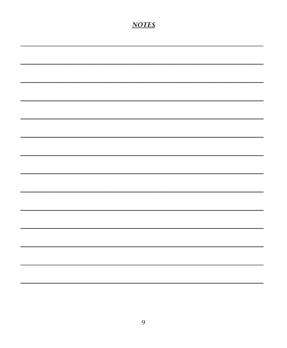#### **NOTES**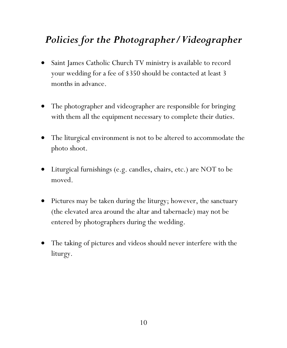## *Policies for the Photographer/Videographer*

- Saint James Catholic Church TV ministry is available to record your wedding for a fee of \$350 should be contacted at least 3 months in advance.
- The photographer and videographer are responsible for bringing with them all the equipment necessary to complete their duties.
- The liturgical environment is not to be altered to accommodate the photo shoot.
- Liturgical furnishings (e.g. candles, chairs, etc.) are NOT to be moved.
- Pictures may be taken during the liturgy; however, the sanctuary (the elevated area around the altar and tabernacle) may not be entered by photographers during the wedding.
- The taking of pictures and videos should never interfere with the liturgy.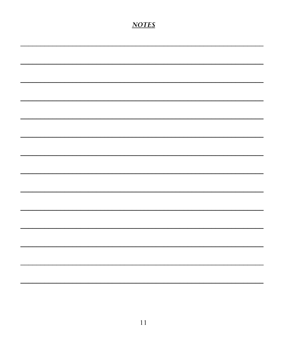### **NOTES**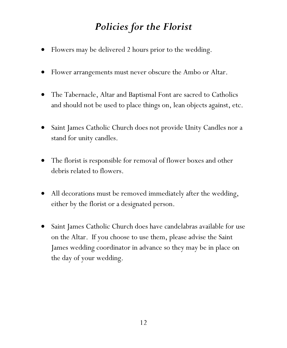## *Policies for the Florist*

- Flowers may be delivered 2 hours prior to the wedding.
- Flower arrangements must never obscure the Ambo or Altar.
- The Tabernacle, Altar and Baptismal Font are sacred to Catholics and should not be used to place things on, lean objects against, etc.
- Saint James Catholic Church does not provide Unity Candles nor a stand for unity candles.
- The florist is responsible for removal of flower boxes and other debris related to flowers.
- All decorations must be removed immediately after the wedding, either by the florist or a designated person.
- Saint James Catholic Church does have candelabras available for use on the Altar. If you choose to use them, please advise the Saint James wedding coordinator in advance so they may be in place on the day of your wedding.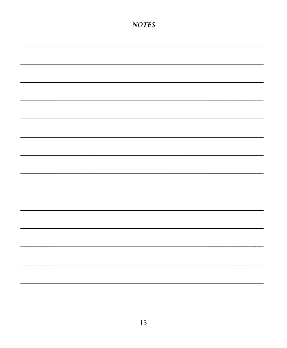#### **NOTES**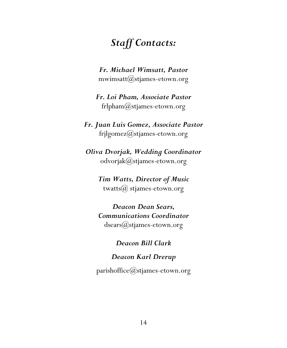## *Staff Contacts:*

*Fr. Michael Wimsatt, Pastor* mwimsatt $(\partial_s$ stjames-etown.org

*Fr. Loi Pham, Associate Pastor* frlpham $@$ stjames-etown.org

*Fr. Juan Luis Gomez, Associate Pastor* frjlgomez@stjames-etown.org

*Oliva Dvorjak, Wedding Coordinator*  odvorjak@stjames-etown.org

> *Tim Watts, Director of Music* twatts $\omega$  stjames-etown.org

> *Deacon Dean Sears, Communications Coordinator* dsears@stjames-etown.org

> > *Deacon Bill Clark*

*Deacon Karl Drerup*

parishoffice $(Q$ stjames-etown.org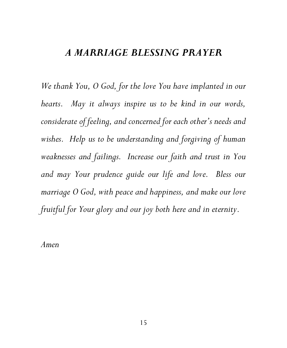#### *A MARRIAGE BLESSING PRAYER*

*We thank You, O God, for the love You have implanted in our hearts. May it always inspire us to be kind in our words, considerate of feeling, and concerned for each other's needs and wishes. Help us to be understanding and forgiving of human weaknesses and failings. Increase our faith and trust in You and may Your prudence guide our life and love. Bless our marriage O God, with peace and happiness, and make our love fruitful for Your glory and our joy both here and in eternity.* 

*Amen*